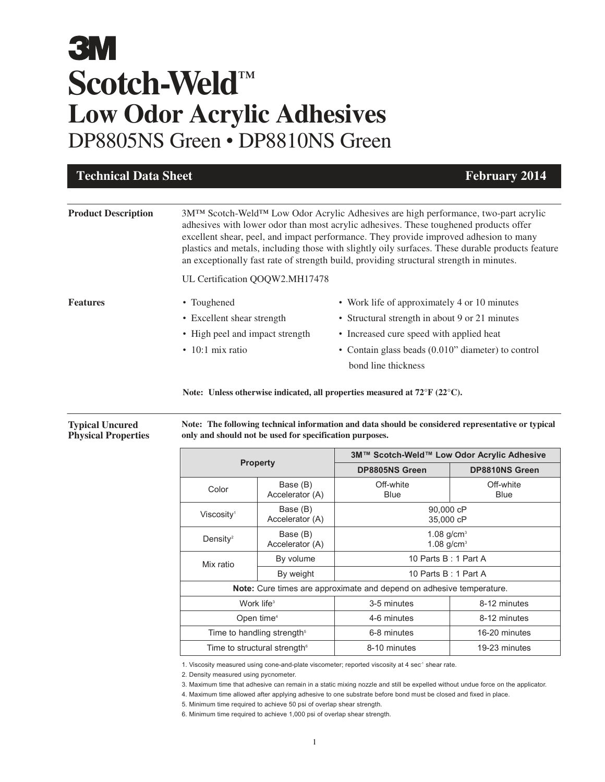| <b>Technical Data Sheet</b>                                                                            | <b>February 2014</b>                                                                                                                                                                                                                                                                                                                                                                                                                                                                          |
|--------------------------------------------------------------------------------------------------------|-----------------------------------------------------------------------------------------------------------------------------------------------------------------------------------------------------------------------------------------------------------------------------------------------------------------------------------------------------------------------------------------------------------------------------------------------------------------------------------------------|
|                                                                                                        | 3M <sup>TM</sup> Scotch-Weld <sup>TM</sup> Low Odor Acrylic Adhesives are high performance, two-part acrylic<br>adhesives with lower odor than most acrylic adhesives. These toughened products offer<br>excellent shear, peel, and impact performance. They provide improved adhesion to many<br>plastics and metals, including those with slightly oily surfaces. These durable products feature<br>an exceptionally fast rate of strength build, providing structural strength in minutes. |
| UL Certification QOQW2.MH17478                                                                         |                                                                                                                                                                                                                                                                                                                                                                                                                                                                                               |
| • Toughened<br>• Excellent shear strength<br>• High peel and impact strength<br>$\cdot$ 10:1 mix ratio | • Work life of approximately 4 or 10 minutes<br>• Structural strength in about 9 or 21 minutes<br>• Increased cure speed with applied heat<br>• Contain glass beads (0.010" diameter) to control<br>bond line thickness                                                                                                                                                                                                                                                                       |
|                                                                                                        | Note: Unless otherwise indicated, all properties measured at 72°F (22°C).                                                                                                                                                                                                                                                                                                                                                                                                                     |

**Note: The following technical information and data should be considered representative or typical only and should not be used for specification purposes.**

| <b>Property</b>                                                      |                             | 3M™ Scotch-Weld™ Low Odor Acrylic Adhesive |                          |
|----------------------------------------------------------------------|-----------------------------|--------------------------------------------|--------------------------|
|                                                                      |                             | DP8805NS Green                             | <b>DP8810NS Green</b>    |
| Color                                                                | Base (B)<br>Accelerator (A) | Off-white<br>Blue                          | Off-white<br><b>Blue</b> |
| Viscosity <sup>1</sup>                                               | Base (B)<br>Accelerator (A) | 90.000 cP<br>35,000 cP                     |                          |
| Density <sup>2</sup>                                                 | Base (B)<br>Accelerator (A) | 1.08 $q/cm^{3}$<br>1.08 $g/cm3$            |                          |
| 10 Parts B: 1 Part A<br>By volume<br>Mix ratio                       |                             |                                            |                          |
|                                                                      | By weight                   | 10 Parts B: 1 Part A                       |                          |
| Note: Cure times are approximate and depend on adhesive temperature. |                             |                                            |                          |
| Work life $3$                                                        |                             | 3-5 minutes                                | 8-12 minutes             |
| Open time <sup>4</sup>                                               |                             | 4-6 minutes                                | 8-12 minutes             |
| Time to handling strength <sup>5</sup>                               |                             | 6-8 minutes                                | 16-20 minutes            |
| Time to structural strength <sup>®</sup>                             |                             | 8-10 minutes                               | 19-23 minutes            |

1. Viscosity measured using cone-and-plate viscometer; reported viscosity at 4 sec<sup>-1</sup> shear rate.

2. Density measured using pycnometer.

**Typical Uncured Physical Properties**

3. Maximum time that adhesive can remain in a static mixing nozzle and still be expelled without undue force on the applicator.

4. Maximum time allowed after applying adhesive to one substrate before bond must be closed and fixed in place.

5. Minimum time required to achieve 50 psi of overlap shear strength.

6. Minimum time required to achieve 1,000 psi of overlap shear strength.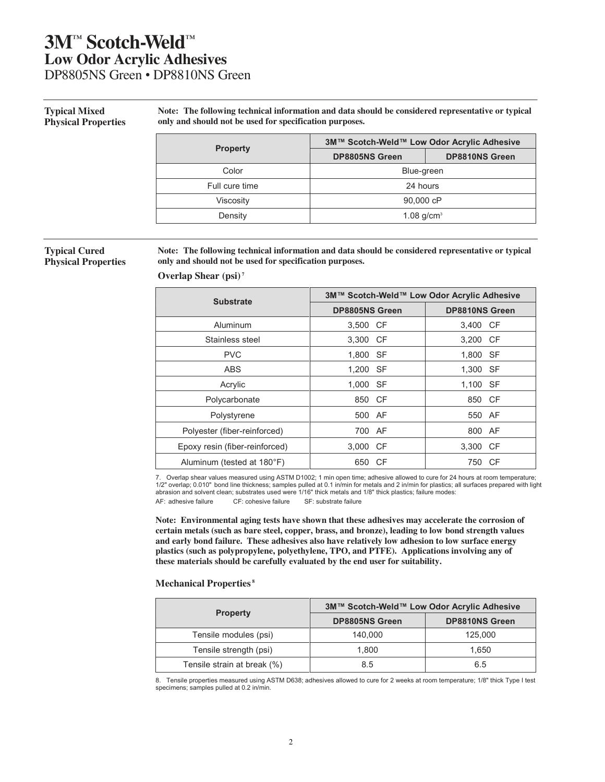## **Typical Mixed Physical Properties**

**Note: The following technical information and data should be considered representative or typical only and should not be used for specification purposes.**

| <b>Property</b>  | 3M™ Scotch-Weld™ Low Odor Acrylic Adhesive |                       |
|------------------|--------------------------------------------|-----------------------|
|                  | <b>DP8805NS Green</b>                      | <b>DP8810NS Green</b> |
| Color            | Blue-green                                 |                       |
| Full cure time   | 24 hours                                   |                       |
| <b>Viscosity</b> | 90,000 cP                                  |                       |
| Density          | 1.08 $q/cm^{3}$                            |                       |

## **Typical Cured Physical Properties**

**Note: The following technical information and data should be considered representative or typical only and should not be used for specification purposes.**

| <b>Substrate</b>               | 3M™ Scotch-Weld™ Low Odor Acrylic Adhesive |                       |  |
|--------------------------------|--------------------------------------------|-----------------------|--|
|                                | <b>DP8805NS Green</b>                      | <b>DP8810NS Green</b> |  |
| Aluminum                       | 3,500 CF                                   | 3,400 CF              |  |
| Stainless steel                | 3.300 CF                                   | 3.200 CF              |  |
| <b>PVC</b>                     | 1.800<br>- SF                              | 1,800 SF              |  |
| <b>ABS</b>                     | SF<br>1.200                                | 1.300 SF              |  |
| Acrylic                        | 1,000<br>-SF                               | 1,100 SF              |  |
| Polycarbonate                  | 850<br>CF                                  | 850 CF                |  |
| Polystyrene                    | 500 AF                                     | 550 AF                |  |
| Polyester (fiber-reinforced)   | 700 AF                                     | 800 AF                |  |
| Epoxy resin (fiber-reinforced) | 3.000 CF                                   | 3.300 CF              |  |
| Aluminum (tested at 180°F)     | - CF<br>650                                | 750 CF                |  |

7. Overlap shear values measured using ASTM D1002; 1 min open time; adhesive allowed to cure for 24 hours at room temperature; 1/2" overlap; 0.010" bond line thickness; samples pulled at 0.1 in/min for metals and 2 in/min for plastics; all surfaces prepared with light abrasion and solvent clean; substrates used were 1/16" thick metals and 1/8" thick plastics; failure modes: AF: adhesive failure CF: cohesive failure SF: substrate failure

**Note: Environmental aging tests have shown that these adhesives may accelerate the corrosion of certain metals (such as bare steel, copper, brass, and bronze), leading to low bond strength values and early bond failure. These adhesives also have relatively low adhesion to low surface energy plastics (such as polypropylene, polyethylene, TPO, and PTFE). Applications involving any of these materials should be carefully evaluated by the end user for suitability.** 

## **Mechanical Properties<sup>8</sup>**

**Overlap Shear (psi)<sup>7</sup>**

|                             | 3M™ Scotch-Weld™ Low Odor Acrylic Adhesive |                       |
|-----------------------------|--------------------------------------------|-----------------------|
| <b>Property</b>             | <b>DP8805NS Green</b>                      | <b>DP8810NS Green</b> |
| Tensile modules (psi)       | 140,000                                    | 125,000               |
| Tensile strength (psi)      | 1.800                                      | 1.650                 |
| Tensile strain at break (%) | 8.5                                        | 6.5                   |

8. Tensile properties measured using ASTM D638; adhesives allowed to cure for 2 weeks at room temperature; 1/8" thick Type I test specimens; samples pulled at 0.2 in/min.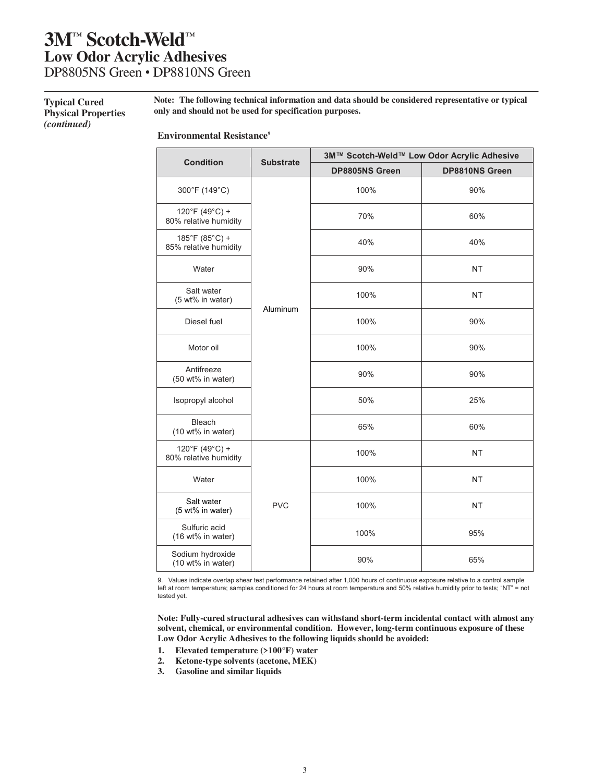## **Typical Cured Physical Properties**  *(continued)*

 **Note: The following technical information and data should be considered representative or typical only and should not be used for specification purposes.**

#### **Environmental Resistance<sup>9</sup>**

| <b>Condition</b>                        | <b>Substrate</b> | 3M™ Scotch-Weld™ Low Odor Acrylic Adhesive |                       |
|-----------------------------------------|------------------|--------------------------------------------|-----------------------|
|                                         |                  | DP8805NS Green                             | <b>DP8810NS Green</b> |
| 300°F (149°C)                           |                  | 100%                                       | 90%                   |
| 120°F (49°C) +<br>80% relative humidity |                  | 70%                                        | 60%                   |
| 185°F (85°C) +<br>85% relative humidity |                  | 40%                                        | 40%                   |
| Water                                   |                  | 90%                                        | <b>NT</b>             |
| Salt water<br>(5 wt% in water)          | Aluminum         | 100%                                       | <b>NT</b>             |
| Diesel fuel                             |                  | 100%                                       | 90%                   |
| Motor oil                               |                  | 100%                                       | 90%                   |
| Antifreeze<br>(50 wt% in water)         |                  | 90%                                        | 90%                   |
| Isopropyl alcohol                       |                  | 50%                                        | 25%                   |
| <b>Bleach</b><br>(10 wt% in water)      |                  | 65%                                        | 60%                   |
| 120°F (49°C) +<br>80% relative humidity | <b>PVC</b>       | 100%                                       | <b>NT</b>             |
| Water                                   |                  | 100%                                       | <b>NT</b>             |
| Salt water<br>(5 wt% in water)          |                  | 100%                                       | <b>NT</b>             |
| Sulfuric acid<br>(16 wt% in water)      |                  | 100%                                       | 95%                   |
| Sodium hydroxide<br>(10 wt% in water)   |                  | 90%                                        | 65%                   |

9. Values indicate overlap shear test performance retained after 1,000 hours of continuous exposure relative to a control sample left at room temperature; samples conditioned for 24 hours at room temperature and 50% relative humidity prior to tests; "NT" = not tested yet.

**Note: Fully-cured structural adhesives can withstand short-term incidental contact with almost any solvent, chemical, or environmental condition. However, long-term continuous exposure of these Low Odor Acrylic Adhesives to the following liquids should be avoided:** 

- **1. Elevated temperature (>100°F) water**
- **2. Ketone-type solvents (acetone, MEK)**
- **3. Gasoline and similar liquids**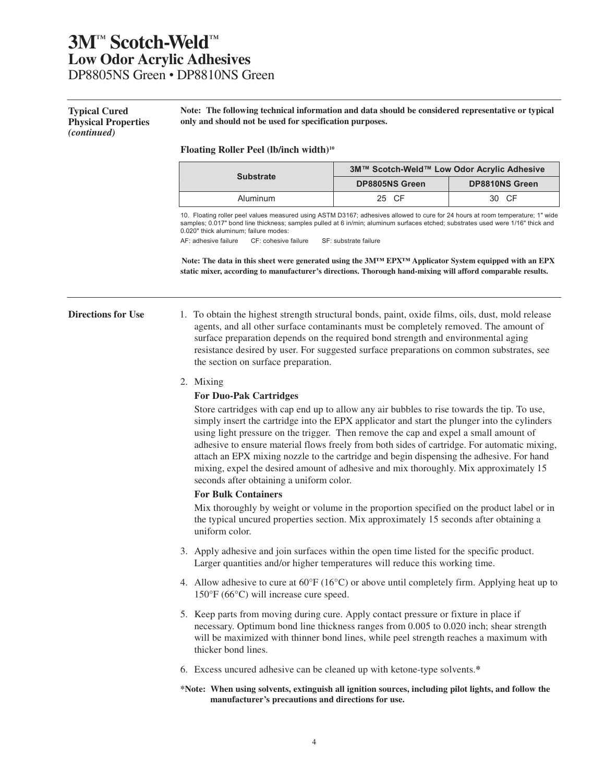**Typical Cured Physical Properties**  *(continued)*

**Note: The following technical information and data should be considered representative or typical only and should not be used for specification purposes.** 

#### **Floating Roller Peel (lb/inch width)<sup>10</sup>**

| <b>Substrate</b> | 3M™ Scotch-Weld™ Low Odor Acrylic Adhesive |                       |
|------------------|--------------------------------------------|-----------------------|
|                  | DP8805NS Green                             | <b>DP8810NS Green</b> |
| Aluminum         | 25 CF                                      | 30 CF                 |

10. Floating roller peel values measured using ASTM D3167; adhesives allowed to cure for 24 hours at room temperature; 1" wide samples; 0.017" bond line thickness; samples pulled at 6 in/min; aluminum surfaces etched; substrates used were 1/16" thick and 0.020" thick aluminum; failure modes:

AF: adhesive failure CF: cohesive failure SF: substrate failure

**Note: The data in this sheet were generated using the 3M™ EPX™ Applicator System equipped with an EPX static mixer, according to manufacturer's directions. Thorough hand-mixing will afford comparable results.**

**Directions for Use** 1. To obtain the highest strength structural bonds, paint, oxide films, oils, dust, mold release agents, and all other surface contaminants must be completely removed. The amount of surface preparation depends on the required bond strength and environmental aging resistance desired by user. For suggested surface preparations on common substrates, see the section on surface preparation.

2. Mixing

## **For Duo-Pak Cartridges**

Store cartridges with cap end up to allow any air bubbles to rise towards the tip. To use, simply insert the cartridge into the EPX applicator and start the plunger into the cylinders using light pressure on the trigger. Then remove the cap and expel a small amount of adhesive to ensure material flows freely from both sides of cartridge. For automatic mixing, attach an EPX mixing nozzle to the cartridge and begin dispensing the adhesive. For hand mixing, expel the desired amount of adhesive and mix thoroughly. Mix approximately 15 seconds after obtaining a uniform color.

## **For Bulk Containers**

Mix thoroughly by weight or volume in the proportion specified on the product label or in the typical uncured properties section. Mix approximately 15 seconds after obtaining a uniform color.

- 3. Apply adhesive and join surfaces within the open time listed for the specific product. Larger quantities and/or higher temperatures will reduce this working time.
- 4. Allow adhesive to cure at  $60^{\circ}F (16^{\circ}C)$  or above until completely firm. Applying heat up to 150°F (66°C) will increase cure speed.
- 5. Keep parts from moving during cure. Apply contact pressure or fixture in place if necessary. Optimum bond line thickness ranges from 0.005 to 0.020 inch; shear strength will be maximized with thinner bond lines, while peel strength reaches a maximum with thicker bond lines.
- 6. Excess uncured adhesive can be cleaned up with ketone-type solvents.**\***
- **\*Note: When using solvents, extinguish all ignition sources, including pilot lights, and follow the manufacturer's precautions and directions for use.**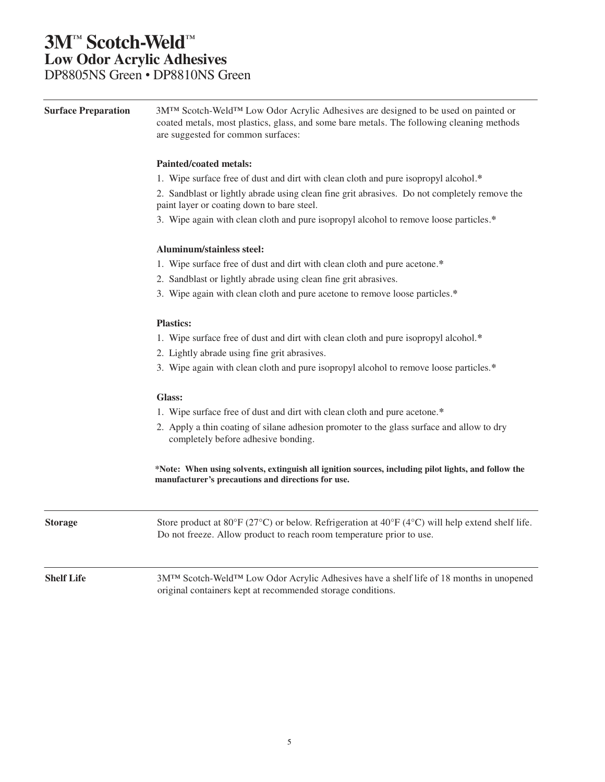| <b>Surface Preparation</b> | 3M™ Scotch-Weld™ Low Odor Acrylic Adhesives are designed to be used on painted or<br>coated metals, most plastics, glass, and some bare metals. The following cleaning methods<br>are suggested for common surfaces: |
|----------------------------|----------------------------------------------------------------------------------------------------------------------------------------------------------------------------------------------------------------------|
|                            | <b>Painted/coated metals:</b>                                                                                                                                                                                        |
|                            | 1. Wipe surface free of dust and dirt with clean cloth and pure isopropyl alcohol.*                                                                                                                                  |
|                            | 2. Sandblast or lightly abrade using clean fine grit abrasives. Do not completely remove the<br>paint layer or coating down to bare steel.                                                                           |
|                            | 3. Wipe again with clean cloth and pure isopropyl alcohol to remove loose particles.*                                                                                                                                |
|                            | Aluminum/stainless steel:                                                                                                                                                                                            |
|                            | 1. Wipe surface free of dust and dirt with clean cloth and pure acetone.*                                                                                                                                            |
|                            | 2. Sandblast or lightly abrade using clean fine grit abrasives.                                                                                                                                                      |
|                            | 3. Wipe again with clean cloth and pure acetone to remove loose particles.*                                                                                                                                          |
|                            | <b>Plastics:</b>                                                                                                                                                                                                     |
|                            | 1. Wipe surface free of dust and dirt with clean cloth and pure isopropyl alcohol.*                                                                                                                                  |
|                            | 2. Lightly abrade using fine grit abrasives.                                                                                                                                                                         |
|                            | 3. Wipe again with clean cloth and pure isopropyl alcohol to remove loose particles.*                                                                                                                                |
|                            | Glass:                                                                                                                                                                                                               |
|                            | 1. Wipe surface free of dust and dirt with clean cloth and pure acetone.*                                                                                                                                            |
|                            | 2. Apply a thin coating of silane adhesion promoter to the glass surface and allow to dry<br>completely before adhesive bonding.                                                                                     |
|                            | *Note: When using solvents, extinguish all ignition sources, including pilot lights, and follow the<br>manufacturer's precautions and directions for use.                                                            |
| <b>Storage</b>             | Store product at 80°F (27°C) or below. Refrigeration at 40°F (4°C) will help extend shelf life.<br>Do not freeze. Allow product to reach room temperature prior to use.                                              |
| <b>Shelf Life</b>          | 3M™ Scotch-Weld™ Low Odor Acrylic Adhesives have a shelf life of 18 months in unopened<br>original containers kept at recommended storage conditions.                                                                |